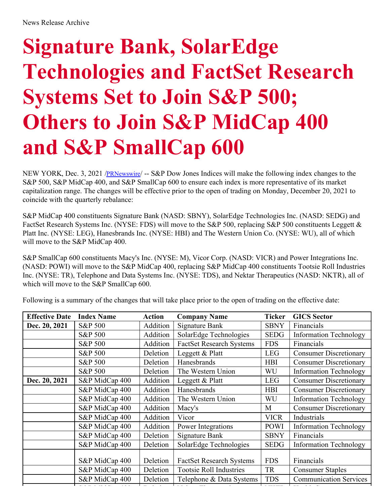# **Signature Bank, SolarEdge Technologies and FactSet Research Systems Set to Join S&P 500; Others to Join S&P MidCap 400 and S&P SmallCap 600**

NEW YORK, Dec. 3, 2021 /*[PRNewswire](http://www.prnewswire.com/)*/ -- S&P Dow Jones Indices will make the following index changes to the S&P 500, S&P MidCap 400, and S&P SmallCap 600 to ensure each index is more representative of its market capitalization range. The changes will be effective prior to the open of trading on Monday, December 20, 2021 to coincide with the quarterly rebalance:

S&P MidCap 400 constituents Signature Bank (NASD: SBNY), SolarEdge Technologies Inc. (NASD: SEDG) and FactSet Research Systems Inc. (NYSE: FDS) will move to the S&P 500, replacing S&P 500 constituents Leggett & Platt Inc. (NYSE: LEG), Hanesbrands Inc. (NYSE: HBI) and The Western Union Co. (NYSE: WU), all of which will move to the S&P MidCap 400.

S&P SmallCap 600 constituents Macy's Inc. (NYSE: M), Vicor Corp. (NASD: VICR) and Power Integrations Inc. (NASD: POWI) will move to the S&P MidCap 400, replacing S&P MidCap 400 constituents Tootsie Roll Industries Inc. (NYSE: TR), Telephone and Data Systems Inc. (NYSE: TDS), and Nektar Therapeutics (NASD: NKTR), all of which will move to the S&P SmallCap 600.

Following is a summary of the changes that will take place prior to the open of trading on the effective date:

| <b>Effective Date</b> | <b>Index Name</b>  | <b>Action</b> | <b>Company Name</b>             | <b>Ticker</b> | <b>GICS Sector</b>            |
|-----------------------|--------------------|---------------|---------------------------------|---------------|-------------------------------|
| Dec. 20, 2021         | S&P 500            | Addition      | <b>Signature Bank</b>           | <b>SBNY</b>   | Financials                    |
|                       | <b>S&amp;P 500</b> | Addition      | SolarEdge Technologies          | <b>SEDG</b>   | <b>Information Technology</b> |
|                       | S&P 500            | Addition      | <b>FactSet Research Systems</b> | <b>FDS</b>    | Financials                    |
|                       | S&P 500            | Deletion      | Leggett & Platt                 | <b>LEG</b>    | <b>Consumer Discretionary</b> |
|                       | S&P 500            | Deletion      | Hanesbrands                     | <b>HBI</b>    | <b>Consumer Discretionary</b> |
|                       | S&P 500            | Deletion      | The Western Union               | WU            | <b>Information Technology</b> |
| Dec. 20, 2021         | S&P MidCap 400     | Addition      | Leggett & Platt                 | <b>LEG</b>    | <b>Consumer Discretionary</b> |
|                       | S&P MidCap 400     | Addition      | Hanesbrands                     | <b>HBI</b>    | <b>Consumer Discretionary</b> |
|                       | S&P MidCap 400     | Addition      | The Western Union               | WU            | <b>Information Technology</b> |
|                       | S&P MidCap 400     | Addition      | Macy's                          | M             | <b>Consumer Discretionary</b> |
|                       | S&P MidCap 400     | Addition      | Vicor                           | <b>VICR</b>   | Industrials                   |
|                       | S&P MidCap 400     | Addition      | Power Integrations              | <b>POWI</b>   | <b>Information Technology</b> |
|                       | S&P MidCap 400     | Deletion      | Signature Bank                  | <b>SBNY</b>   | Financials                    |
|                       | S&P MidCap 400     | Deletion      | SolarEdge Technologies          | <b>SEDG</b>   | <b>Information Technology</b> |
|                       | S&P MidCap 400     | Deletion      | <b>FactSet Research Systems</b> | <b>FDS</b>    | Financials                    |
|                       | S&P MidCap 400     | Deletion      | <b>Tootsie Roll Industries</b>  | TR            | <b>Consumer Staples</b>       |
|                       | S&P MidCap 400     | Deletion      | Telephone & Data Systems        | <b>TDS</b>    | <b>Communication Services</b> |
|                       |                    |               |                                 |               |                               |